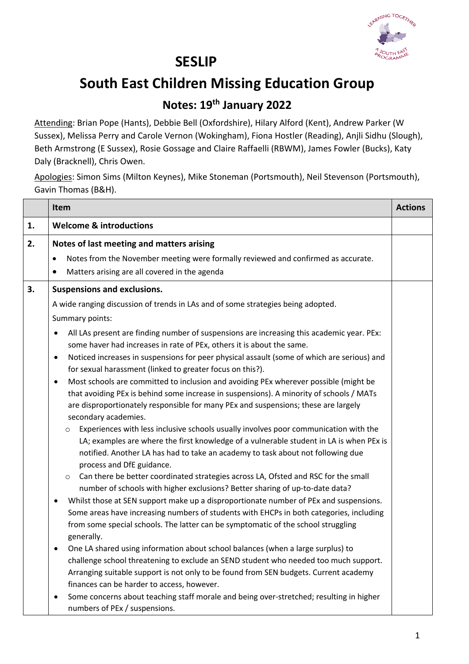

## **SESLIP**

## **South East Children Missing Education Group**

## **Notes: 19th January 2022**

Attending: Brian Pope (Hants), Debbie Bell (Oxfordshire), Hilary Alford (Kent), Andrew Parker (W Sussex), Melissa Perry and Carole Vernon (Wokingham), Fiona Hostler (Reading), Anjli Sidhu (Slough), Beth Armstrong (E Sussex), Rosie Gossage and Claire Raffaelli (RBWM), James Fowler (Bucks), Katy Daly (Bracknell), Chris Owen.

Apologies: Simon Sims (Milton Keynes), Mike Stoneman (Portsmouth), Neil Stevenson (Portsmouth), Gavin Thomas (B&H).

| <b>Welcome &amp; introductions</b><br>1.<br>2.<br>Notes of last meeting and matters arising<br>Notes from the November meeting were formally reviewed and confirmed as accurate.<br>$\bullet$                                                                                                                                                                                                                                                                                                                                                                                                                                                                                                                                                                                                                                                                                                                                                                                                                                                                                                                                                                                                                                                                                                                                                                                                                                                                                                                                                                                                                                                                                                                                                                                                                                                                                                |  |
|----------------------------------------------------------------------------------------------------------------------------------------------------------------------------------------------------------------------------------------------------------------------------------------------------------------------------------------------------------------------------------------------------------------------------------------------------------------------------------------------------------------------------------------------------------------------------------------------------------------------------------------------------------------------------------------------------------------------------------------------------------------------------------------------------------------------------------------------------------------------------------------------------------------------------------------------------------------------------------------------------------------------------------------------------------------------------------------------------------------------------------------------------------------------------------------------------------------------------------------------------------------------------------------------------------------------------------------------------------------------------------------------------------------------------------------------------------------------------------------------------------------------------------------------------------------------------------------------------------------------------------------------------------------------------------------------------------------------------------------------------------------------------------------------------------------------------------------------------------------------------------------------|--|
|                                                                                                                                                                                                                                                                                                                                                                                                                                                                                                                                                                                                                                                                                                                                                                                                                                                                                                                                                                                                                                                                                                                                                                                                                                                                                                                                                                                                                                                                                                                                                                                                                                                                                                                                                                                                                                                                                              |  |
| Matters arising are all covered in the agenda<br>٠                                                                                                                                                                                                                                                                                                                                                                                                                                                                                                                                                                                                                                                                                                                                                                                                                                                                                                                                                                                                                                                                                                                                                                                                                                                                                                                                                                                                                                                                                                                                                                                                                                                                                                                                                                                                                                           |  |
| 3.<br><b>Suspensions and exclusions.</b><br>A wide ranging discussion of trends in LAs and of some strategies being adopted.                                                                                                                                                                                                                                                                                                                                                                                                                                                                                                                                                                                                                                                                                                                                                                                                                                                                                                                                                                                                                                                                                                                                                                                                                                                                                                                                                                                                                                                                                                                                                                                                                                                                                                                                                                 |  |
| Summary points:<br>All LAs present are finding number of suspensions are increasing this academic year. PEx:<br>٠<br>some haver had increases in rate of PEx, others it is about the same.<br>Noticed increases in suspensions for peer physical assault (some of which are serious) and<br>$\bullet$<br>for sexual harassment (linked to greater focus on this?).<br>Most schools are committed to inclusion and avoiding PEx wherever possible (might be<br>$\bullet$<br>that avoiding PEx is behind some increase in suspensions). A minority of schools / MATs<br>are disproportionately responsible for many PEx and suspensions; these are largely<br>secondary academies.<br>Experiences with less inclusive schools usually involves poor communication with the<br>$\circ$<br>LA; examples are where the first knowledge of a vulnerable student in LA is when PEx is<br>notified. Another LA has had to take an academy to task about not following due<br>process and DfE guidance.<br>Can there be better coordinated strategies across LA, Ofsted and RSC for the small<br>$\circ$<br>number of schools with higher exclusions? Better sharing of up-to-date data?<br>Whilst those at SEN support make up a disproportionate number of PEx and suspensions.<br>٠<br>Some areas have increasing numbers of students with EHCPs in both categories, including<br>from some special schools. The latter can be symptomatic of the school struggling<br>generally.<br>One LA shared using information about school balances (when a large surplus) to<br>challenge school threatening to exclude an SEND student who needed too much support.<br>Arranging suitable support is not only to be found from SEN budgets. Current academy<br>finances can be harder to access, however.<br>Some concerns about teaching staff morale and being over-stretched; resulting in higher<br>٠ |  |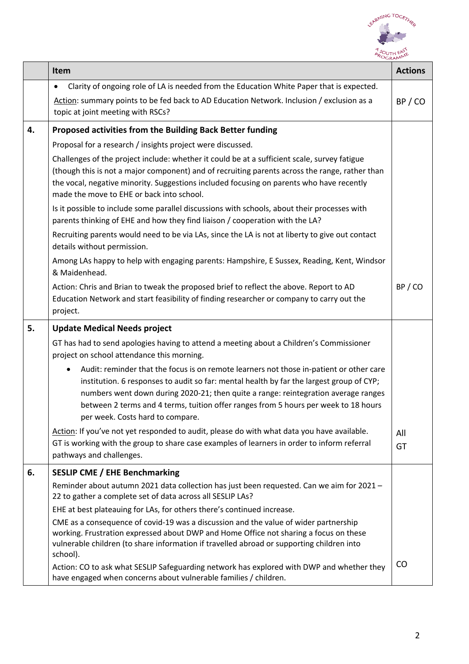

|    | Item                                                                                                                                                                                                                                                                                                                                                                                                              | <b>Actions</b> |
|----|-------------------------------------------------------------------------------------------------------------------------------------------------------------------------------------------------------------------------------------------------------------------------------------------------------------------------------------------------------------------------------------------------------------------|----------------|
|    | Clarity of ongoing role of LA is needed from the Education White Paper that is expected.<br>Action: summary points to be fed back to AD Education Network. Inclusion / exclusion as a<br>topic at joint meeting with RSCs?                                                                                                                                                                                        | BP / CO        |
| 4. | Proposed activities from the Building Back Better funding                                                                                                                                                                                                                                                                                                                                                         |                |
|    | Proposal for a research / insights project were discussed.                                                                                                                                                                                                                                                                                                                                                        |                |
|    | Challenges of the project include: whether it could be at a sufficient scale, survey fatigue<br>(though this is not a major component) and of recruiting parents across the range, rather than<br>the vocal, negative minority. Suggestions included focusing on parents who have recently<br>made the move to EHE or back into school.                                                                           |                |
|    | Is it possible to include some parallel discussions with schools, about their processes with<br>parents thinking of EHE and how they find liaison / cooperation with the LA?                                                                                                                                                                                                                                      |                |
|    | Recruiting parents would need to be via LAs, since the LA is not at liberty to give out contact<br>details without permission.                                                                                                                                                                                                                                                                                    |                |
|    | Among LAs happy to help with engaging parents: Hampshire, E Sussex, Reading, Kent, Windsor<br>& Maidenhead.                                                                                                                                                                                                                                                                                                       |                |
|    | Action: Chris and Brian to tweak the proposed brief to reflect the above. Report to AD<br>Education Network and start feasibility of finding researcher or company to carry out the<br>project.                                                                                                                                                                                                                   | BP/CO          |
| 5. | <b>Update Medical Needs project</b>                                                                                                                                                                                                                                                                                                                                                                               |                |
|    | GT has had to send apologies having to attend a meeting about a Children's Commissioner<br>project on school attendance this morning.                                                                                                                                                                                                                                                                             |                |
|    | Audit: reminder that the focus is on remote learners not those in-patient or other care<br>$\bullet$<br>institution. 6 responses to audit so far: mental health by far the largest group of CYP;<br>numbers went down during 2020-21; then quite a range: reintegration average ranges<br>between 2 terms and 4 terms, tuition offer ranges from 5 hours per week to 18 hours<br>per week. Costs hard to compare. |                |
|    | Action: If you've not yet responded to audit, please do with what data you have available.<br>GT is working with the group to share case examples of learners in order to inform referral<br>pathways and challenges.                                                                                                                                                                                             | All<br>GT      |
| 6. | <b>SESLIP CME / EHE Benchmarking</b>                                                                                                                                                                                                                                                                                                                                                                              |                |
|    | Reminder about autumn 2021 data collection has just been requested. Can we aim for 2021 -<br>22 to gather a complete set of data across all SESLIP LAs?                                                                                                                                                                                                                                                           |                |
|    | EHE at best plateauing for LAs, for others there's continued increase.                                                                                                                                                                                                                                                                                                                                            |                |
|    | CME as a consequence of covid-19 was a discussion and the value of wider partnership<br>working. Frustration expressed about DWP and Home Office not sharing a focus on these<br>vulnerable children (to share information if travelled abroad or supporting children into<br>school).                                                                                                                            |                |
|    | Action: CO to ask what SESLIP Safeguarding network has explored with DWP and whether they<br>have engaged when concerns about vulnerable families / children.                                                                                                                                                                                                                                                     | CO             |